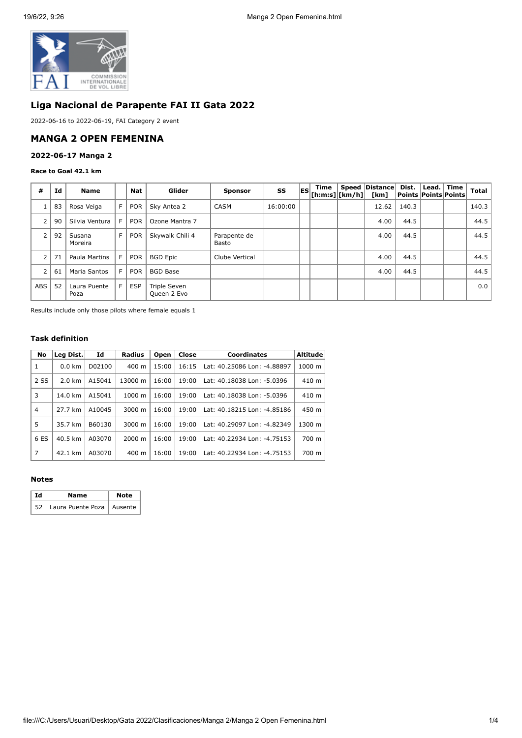

# **Liga Nacional de Parapente FAI II Gata 2022**

2022-06-16 to 2022-06-19, FAI Category 2 event

### **MANGA 2 OPEN FEMENINA**

### **2022-06-17 Manga 2**

### **Race to Goal 42.1 km**

| #              | Id | <b>Name</b>          |   | <b>Nat</b> | Glider                      | <b>Sponsor</b>        | SS       | <b>ES</b> | Time<br>[ h: m: s]   [ km/h] | Speed   Distance  <br>[km] | Dist.<br>  Points   Points   Points | Lead. Time | Total |
|----------------|----|----------------------|---|------------|-----------------------------|-----------------------|----------|-----------|------------------------------|----------------------------|-------------------------------------|------------|-------|
|                | 83 | Rosa Veiga           | F | <b>POR</b> | Sky Antea 2                 | <b>CASM</b>           | 16:00:00 |           |                              | 12.62                      | 140.3                               |            | 140.3 |
| $\overline{2}$ | 90 | Silvia Ventura       | F | <b>POR</b> | Ozone Mantra 7              |                       |          |           |                              | 4.00                       | 44.5                                |            | 44.5  |
| 2              | 92 | Susana<br>Moreira    | F | <b>POR</b> | Skywalk Chili 4             | Parapente de<br>Basto |          |           |                              | 4.00                       | 44.5                                |            | 44.5  |
| $\overline{2}$ | 71 | Paula Martins        | F | <b>POR</b> | <b>BGD Epic</b>             | Clube Vertical        |          |           |                              | 4.00                       | 44.5                                |            | 44.5  |
| 2              | 61 | Maria Santos         | E | <b>POR</b> | <b>BGD Base</b>             |                       |          |           |                              | 4.00                       | 44.5                                |            | 44.5  |
| <b>ABS</b>     | 52 | Laura Puente<br>Poza | F | <b>ESP</b> | Triple Seven<br>Queen 2 Evo |                       |          |           |                              |                            |                                     |            | 0.0   |

Results include only those pilots where female equals 1

### **Task definition**

| No             | Leg Dist.        | Id     | <b>Radius</b>      | Open  | Close | <b>Coordinates</b>          | Altitude |
|----------------|------------------|--------|--------------------|-------|-------|-----------------------------|----------|
| 1              | $0.0 \text{ km}$ | D02100 | $400 \text{ m}$    | 15:00 | 16:15 | Lat: 40.25086 Lon: -4.88897 | 1000 m   |
| 2 SS           | $2.0 \text{ km}$ | A15041 | 13000 m            | 16:00 | 19:00 | Lat: 40.18038 Lon: -5.0396  | 410 m    |
| 3              | 14.0 km          | A15041 | $1000 \; m$        | 16:00 | 19:00 | Lat: 40.18038 Lon: -5.0396  | 410 m    |
| $\overline{4}$ | 27.7 km          | A10045 | 3000 m             | 16:00 | 19:00 | Lat: 40.18215 Lon: -4.85186 | 450 m    |
| 5              | 35.7 km          | B60130 | 3000 m             | 16:00 | 19:00 | Lat: 40.29097 Lon: -4.82349 | 1300 m   |
| 6 ES           | 40.5 km          | A03070 | $2000 \; \text{m}$ | 16:00 | 19:00 | Lat: 40.22934 Lon: -4.75153 | 700 m    |
| 7              | 42.1 km          | A03070 | $400 \text{ m}$    | 16:00 | 19:00 | Lat: 40.22934 Lon: -4.75153 | 700 m    |

### **Notes**

| l Id | Name                             | <b>Note</b> |  |  |  |
|------|----------------------------------|-------------|--|--|--|
|      | 52   Laura Puente Poza   Ausente |             |  |  |  |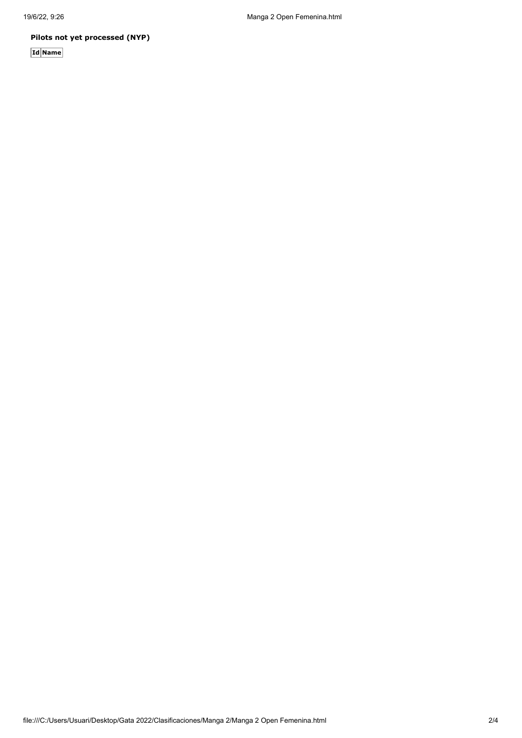# **Pilots not yet processed (NYP)**

**Id Name**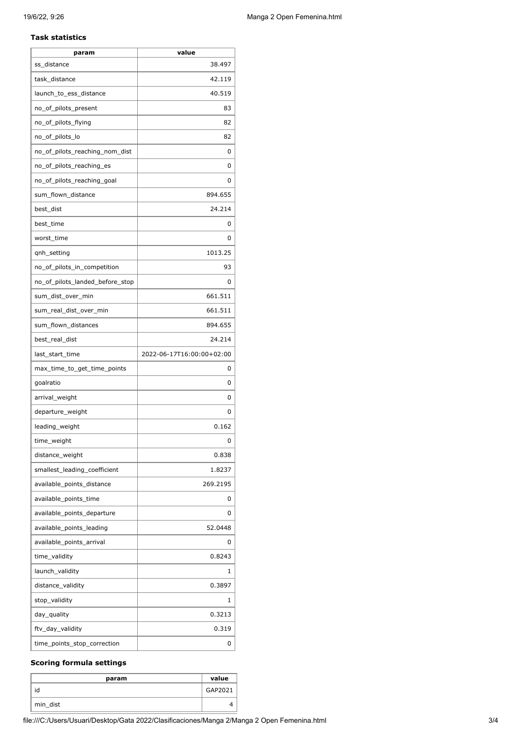### **Task statistics**

| param                           | value                     |
|---------------------------------|---------------------------|
| ss_distance                     | 38.497                    |
| task distance                   | 42.119                    |
| launch_to_ess_distance          | 40.519                    |
| no_of_pilots_present            | 83                        |
| no_of_pilots_flying             | 82                        |
| no_of_pilots_lo                 | 82                        |
| no_of_pilots_reaching_nom_dist  | 0                         |
| no_of_pilots_reaching_es        | 0                         |
| no_of_pilots_reaching_goal      | 0                         |
| sum_flown_distance              | 894.655                   |
| best_dist                       | 24.214                    |
| best_time                       | 0                         |
| worst_time                      | 0                         |
| qnh_setting                     | 1013.25                   |
| no_of_pilots_in_competition     | 93                        |
| no_of_pilots_landed_before_stop | 0                         |
| sum_dist_over_min               | 661.511                   |
| sum_real_dist_over_min          | 661.511                   |
| sum_flown_distances             | 894.655                   |
| best_real_dist                  | 24.214                    |
| last_start_time                 | 2022-06-17T16:00:00+02:00 |
| max_time_to_get_time_points     | 0                         |
| goalratio                       | 0                         |
| arrival_weight                  | 0                         |
| departure_weight                | 0                         |
| leading_weight                  | 0.162                     |
| time_weight                     | O                         |
| distance_weight                 | 0.838                     |
| smallest_leading_coefficient    | 1.8237                    |
| available_points_distance       | 269.2195                  |
| available_points_time           | 0                         |
| available_points_departure      | 0                         |
| available_points_leading        | 52.0448                   |
| available_points_arrival        | 0                         |
| time_validity                   | 0.8243                    |
| launch_validity                 | 1                         |
| distance_validity               | 0.3897                    |
| stop_validity                   | 1                         |
| day_quality                     | 0.3213                    |
| ftv_day_validity                | 0.319                     |
| time_points_stop_correction     | 0                         |

# **Scoring formula settings**

| param    | value   |
|----------|---------|
| id       | GAP2021 |
| min_dist |         |